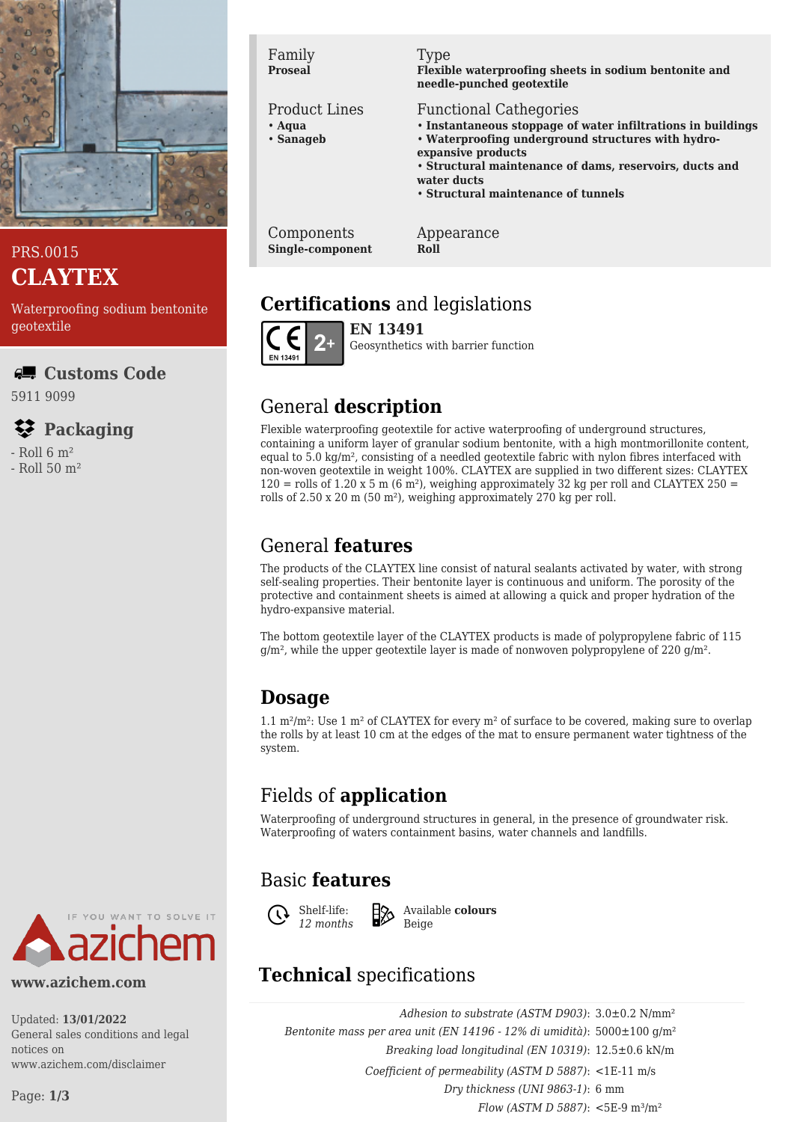

### PRS.0015 **CLAYTEX**

Waterproofing sodium bentonite geotextile

#### **Customs Code**

5911 9099

## **Packaging**

 $-$  Roll 6  $m<sup>2</sup>$ 

- Roll 50 m²



#### **www.azichem.com**

Updated: **13/01/2022** General sales conditions and legal notices on www.azichem.com/disclaimer

#### Page: **1/3**

Family **Proseal**

#### Product Lines

- **Aqua**
- **Sanageb**

#### Type

**Flexible waterproofing sheets in sodium bentonite and needle-punched geotextile**

#### Functional Cathegories

- **Instantaneous stoppage of water infiltrations in buildings**
- **Waterproofing underground structures with hydroexpansive products**

• **Structural maintenance of dams, reservoirs, ducts and water ducts**

• **Structural maintenance of tunnels**

Components **Single-component** Appearance **Roll**

# **Certifications** and legislations



**EN 13491** Geosynthetics with barrier function

# General **description**

Flexible waterproofing geotextile for active waterproofing of underground structures, containing a uniform layer of granular sodium bentonite, with a high montmorillonite content, equal to 5.0 kg/m², consisting of a needled geotextile fabric with nylon fibres interfaced with non-woven geotextile in weight 100%. CLAYTEX are supplied in two different sizes: CLAYTEX  $120 =$  rolls of 1.20 x 5 m (6 m<sup>2</sup>), weighing approximately 32 kg per roll and CLAYTEX 250 = rolls of 2.50 x 20 m (50 m²), weighing approximately 270 kg per roll.

# General **features**

The products of the CLAYTEX line consist of natural sealants activated by water, with strong self-sealing properties. Their bentonite layer is continuous and uniform. The porosity of the protective and containment sheets is aimed at allowing a quick and proper hydration of the hydro-expansive material.

The bottom geotextile layer of the CLAYTEX products is made of polypropylene fabric of 115  $q/m<sup>2</sup>$ , while the upper geotextile layer is made of nonwoven polypropylene of 220  $q/m<sup>2</sup>$ .

# **Dosage**

1.1 m<sup>2</sup>/m<sup>2</sup>: Use 1 m<sup>2</sup> of CLAYTEX for every m<sup>2</sup> of surface to be covered, making sure to overlap the rolls by at least 10 cm at the edges of the mat to ensure permanent water tightness of the system.

# Fields of **application**

Waterproofing of underground structures in general, in the presence of groundwater risk. Waterproofing of waters containment basins, water channels and landfills.

# Basic **features**



Available **colours** Beige

# **Technical** specifications

*Adhesion to substrate (ASTM D903)*: 3.0±0.2 N/mm² *Bentonite mass per area unit (EN 14196 - 12% di umidità)*: 5000±100 g/m² *Breaking load longitudinal (EN 10319)*: 12.5±0.6 kN/m *Coefficient of permeability (ASTM D 5887)*: <1E-11 m/s *Dry thickness (UNI 9863-1)*: 6 mm *Flow (ASTM D 5887)*: <5E-9 m³/m²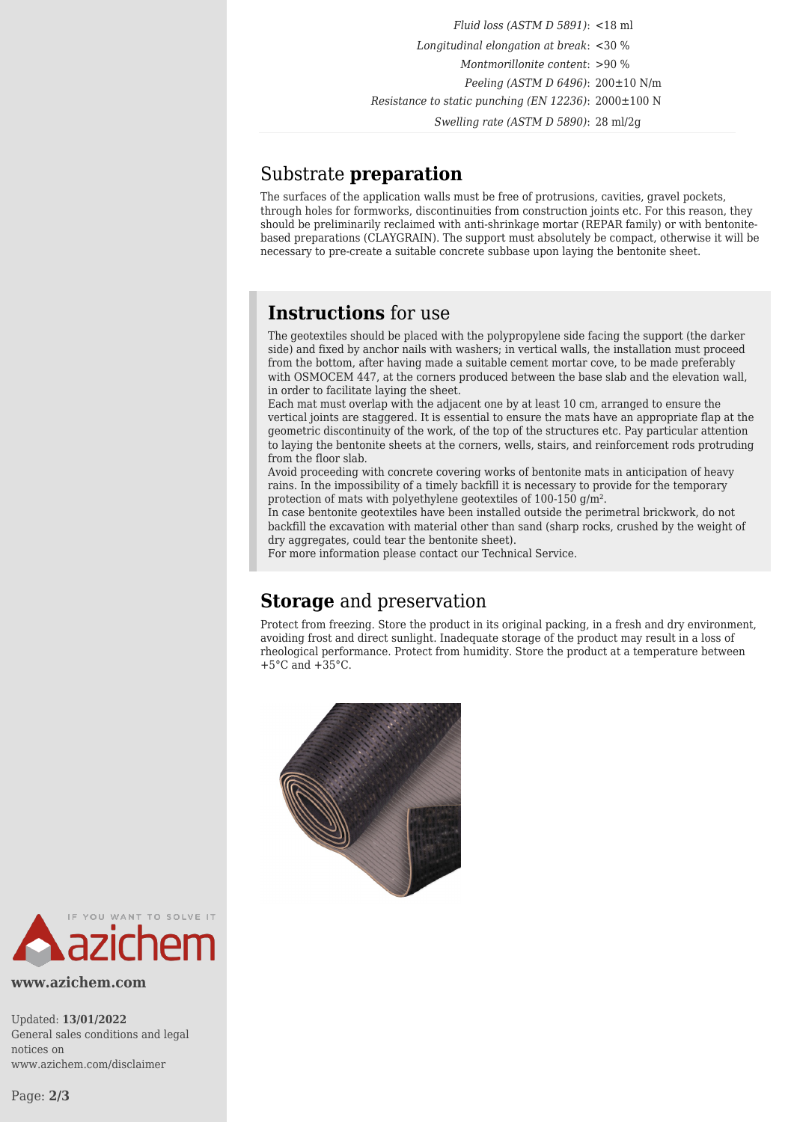*Fluid loss (ASTM D 5891)*: <18 ml *Longitudinal elongation at break*: <30 % *Montmorillonite content*: >90 % *Peeling (ASTM D 6496)*: 200±10 N/m *Resistance to static punching (EN 12236)*: 2000±100 N *Swelling rate (ASTM D 5890)*: 28 ml/2g

### Substrate **preparation**

The surfaces of the application walls must be free of protrusions, cavities, gravel pockets, through holes for formworks, discontinuities from construction joints etc. For this reason, they should be preliminarily reclaimed with anti-shrinkage mortar (REPAR family) or with bentonitebased preparations (CLAYGRAIN). The support must absolutely be compact, otherwise it will be necessary to pre-create a suitable concrete subbase upon laying the bentonite sheet.

### **Instructions** for use

The geotextiles should be placed with the polypropylene side facing the support (the darker side) and fixed by anchor nails with washers; in vertical walls, the installation must proceed from the bottom, after having made a suitable cement mortar cove, to be made preferably with OSMOCEM 447, at the corners produced between the base slab and the elevation wall, in order to facilitate laying the sheet.

Each mat must overlap with the adjacent one by at least 10 cm, arranged to ensure the vertical joints are staggered. It is essential to ensure the mats have an appropriate flap at the geometric discontinuity of the work, of the top of the structures etc. Pay particular attention to laying the bentonite sheets at the corners, wells, stairs, and reinforcement rods protruding from the floor slab.

Avoid proceeding with concrete covering works of bentonite mats in anticipation of heavy rains. In the impossibility of a timely backfill it is necessary to provide for the temporary protection of mats with polyethylene geotextiles of 100-150 g/m².

In case bentonite geotextiles have been installed outside the perimetral brickwork, do not backfill the excavation with material other than sand (sharp rocks, crushed by the weight of dry aggregates, could tear the bentonite sheet).

For more information please contact our Technical Service.

### **Storage** and preservation

Protect from freezing. Store the product in its original packing, in a fresh and dry environment, avoiding frost and direct sunlight. Inadequate storage of the product may result in a loss of rheological performance. Protect from humidity. Store the product at a temperature between  $+5^{\circ}$ C and  $+35^{\circ}$ C.





**www.azichem.com**

Updated: **13/01/2022** General sales conditions and legal notices on www.azichem.com/disclaimer